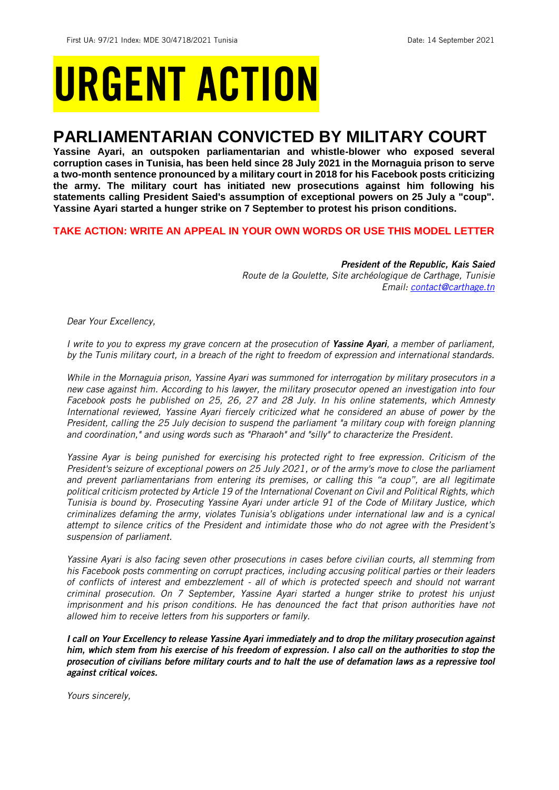# URGENT ACTION

## **PARLIAMENTARIAN CONVICTED BY MILITARY COURT**

**Yassine Ayari, an outspoken parliamentarian and whistle-blower who exposed several corruption cases in Tunisia, has been held since 28 July 2021 in the Mornaguia prison to serve a two-month sentence pronounced by a military court in 2018 for his Facebook posts criticizing the army. The military court has initiated new prosecutions against him following his statements calling President Saied's assumption of exceptional powers on 25 July a "coup". Yassine Ayari started a hunger strike on 7 September to protest his prison conditions.**

## **TAKE ACTION: WRITE AN APPEAL IN YOUR OWN WORDS OR USE THIS MODEL LETTER**

*President of the Republic, Kais Saied Route de la Goulette, Site archéologique de Carthage, Tunisie Email: [contact@carthage.tn](mailto:contact@carthage.tn)*

*Dear Your Excellency,*

*I write to you to express my grave concern at the prosecution of Yassine Ayari, a member of parliament, by the Tunis military court, in a breach of the right to freedom of expression and international standards.*

*While in the Mornaguia prison, Yassine Ayari was summoned for interrogation by military prosecutors in a new case against him. According to his lawyer, the military prosecutor opened an investigation into four Facebook posts he published on 25, 26, 27 and 28 July. In his online statements, which Amnesty International reviewed, Yassine Ayari fiercely criticized what he considered an abuse of power by the President, calling the 25 July decision to suspend the parliament "a military coup with foreign planning and coordination," and using words such as "Pharaoh" and "silly" to characterize the President.*

*Yassine Ayar is being punished for exercising his protected right to free expression. Criticism of the President's seizure of exceptional powers on 25 July 2021, or of the army's move to close the parliament and prevent parliamentarians from entering its premises, or calling this "a coup", are all legitimate political criticism protected by Article 19 of the International Covenant on Civil and Political Rights, which Tunisia is bound by. Prosecuting Yassine Ayari under article 91 of the Code of Military Justice, which criminalizes defaming the army, violates Tunisia's obligations under international law and is a cynical attempt to silence critics of the President and intimidate those who do not agree with the President's suspension of parliament.*

*Yassine Ayari is also facing seven other prosecutions in cases before civilian courts, all stemming from his Facebook posts commenting on corrupt practices, including accusing political parties or their leaders of conflicts of interest and embezzlement - all of which is protected speech and should not warrant criminal prosecution. On 7 September, Yassine Ayari started a hunger strike to protest his unjust imprisonment and his prison conditions. He has denounced the fact that prison authorities have not allowed him to receive letters from his supporters or family.*

*I call on Your Excellency to release Yassine Ayari immediately and to drop the military prosecution against him, which stem from his exercise of his freedom of expression. I also call on the authorities to stop the prosecution of civilians before military courts and to halt the use of defamation laws as a repressive tool against critical voices.*

*Yours sincerely,*